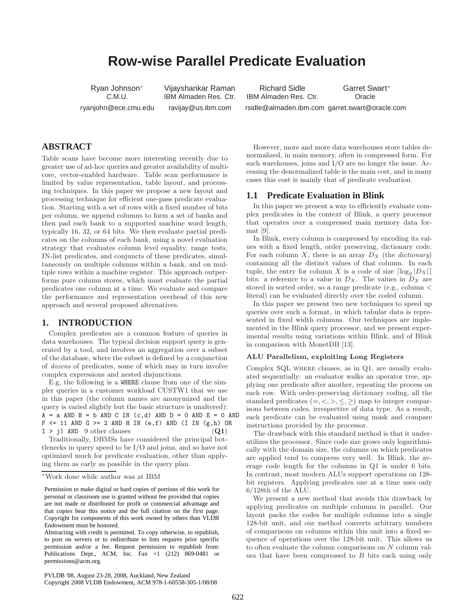# **Row-wise Parallel Predicate Evaluation**

Ryan Johnson<sup>∗</sup> C.M.U. ryanjohn@ece.cmu.edu Vijayshankar Raman IBM Almaden Res. Ctr. ravijay@us.ibm.com

Richard Sidle IBM Almaden Res. Ctr. rsidle@almaden.ibm.com garret.swart@oracle.com Garret Swart<sup>∗</sup> **Oracle** 

# **ABSTRACT**

Table scans have become more interesting recently due to greater use of ad-hoc queries and greater availability of multicore, vector-enabled hardware. Table scan performance is limited by value representation, table layout, and processing techniques. In this paper we propose a new layout and processing technique for efficient one-pass predicate evaluation. Starting with a set of rows with a fixed number of bits per column, we append columns to form a set of banks and then pad each bank to a supported machine word length, typically 16, 32, or 64 bits. We then evaluate partial predicates on the columns of each bank, using a novel evaluation strategy that evaluates column level equality, range tests, IN-list predicates, and conjuncts of these predicates, simultaneously on multiple columns within a bank, and on multiple rows within a machine register. This approach outperforms pure column stores, which must evaluate the partial predicates one column at a time. We evaluate and compare the performance and representation overhead of this new approach and several proposed alternatives.

# **1. INTRODUCTION**

Complex predicates are a common feature of queries in data warehouses. The typical decision support query is generated by a tool, and involves an aggregation over a subset of the database, where the subset is defined by a conjunction of dozens of predicates, some of which may in turn involve complex expressions and nested disjunctions.

E.g, the following is a WHERE clause from one of the simpler queries in a customer workload CUSTW1 that we use in this paper (the column names are anonymized and the query is varied slightly but the basic structure is unaltered):  $A = a$  AND  $B = b$  AND C IN (c,d) AND  $D = 0$  AND  $E = 0$  AND  $F \le 11$  AND  $G \ge 2$  AND H IN  $(e, f)$  AND (I IN  $(g, h)$  OR  $I > j$ ) AND 9 other clauses (Q1)

Traditionally, DBMSs have considered the principal bottlenecks in query speed to be I/O and joins, and so have not optimized much for predicate evaluation, other than applying them as early as possible in the query plan.

However, more and more data warehouses store tables denormalized, in main memory, often in compressed form. For such warehouses, joins and I/O are no longer the issue. Accessing the denormalized table is the main cost, and in many cases this cost is mainly that of predicate evaluation.

### **1.1 Predicate Evaluation in Blink**

In this paper we present a way to efficiently evaluate complex predicates in the context of Blink, a query processor that operates over a compressed main memory data format [9].

In Blink, every column is compressed by encoding its values with a fixed length, order preserving, dictionary code. For each column X, there is an array  $D_X$  (the *dictionary*) containing all the distinct values of that column. In each tuple, the entry for column X is a code of size  $\lceil \log_2 |D_X| \rceil$ bits: a reference to a value in  $D_X$ . The values in  $D_X$  are stored in sorted order, so a range predicate (e.g., column < literal) can be evaluated directly over the coded column.

In this paper we present two new techniques to speed up queries over such a format, in which tabular data is represented in fixed width columns. Our techniques are implemented in the Blink query processor, and we present experimental results using variations within Blink, and of Blink in comparison with MonetDB [13].

#### ALU Parallelism, exploiting Long Registers

Complex SQL where clauses, as in Q1, are usually evaluated sequentially: an evaluator walks an operator tree, applying one predicate after another, repeating the process on each row. With order-preserving dictionary coding, all the standard predicates  $(=, <, >, \leq, \geq)$  map to integer comparisons between codes, irrespective of data type. As a result, each predicate can be evaluated using mask and compare instructions provided by the processor.

The drawback with this standard method is that it underutilizes the processor. Since code size grows only logarithmically with the domain size, the columns on which predicates are applied tend to compress very well. In Blink, the average code length for the columns in Q1 is under 6 bits. In contrast, most modern ALUs support operations on 128 bit registers. Applying predicates one at a time uses only 6/128th of the ALU.

We present a new method that avoids this drawback by applying predicates on multiple columns in parallel. Our layout packs the codes for multiple columns into a single 128-bit unit, and our method converts arbitrary numbers of comparisons on columns within this unit into a fixed sequence of operations over the 128-bit unit. This allows us to often evaluate the column comparisons on N column values that have been compressed to B bits each using only

PVLDB '08, August 23-28, 2008, Auckland, New Zealand Copyright 2008 VLDB Endowment, ACM 978-1-60558-305-1/08/08

<sup>∗</sup>Work done while author was at IBM

are not made or distributed for profit or commercial advantage and that copies bear this notice and the full citation on the first page. the VLDB copyright notice and the title of the publication and its date appear, Copyright for components of this work owned by others than VLDB Endowment must be honored. Permission to make digital or hard copies of portions of this work for personal or classroom use is granted without fee provided that copies

Abstracting with credit is permitted. To copy otherwise, to republish, to post on servers or to redistribute to lists requires prior specific permission and/or a fee. Request permission to republish from: *Permission and/of a fee. Request permission to re-*Publications Dept., ACM, Inc. Fax  $+1$  (212) 869-0481 or permissions@acm.org.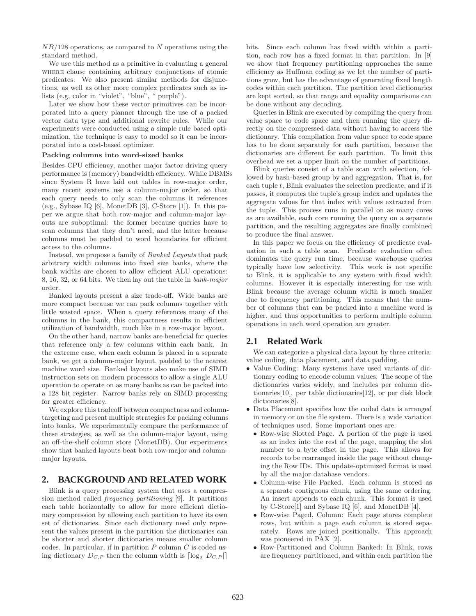$NB/128$  operations, as compared to N operations using the standard method.

We use this method as a primitive in evaluating a general where clause containing arbitrary conjunctions of atomic predicates. We also present similar methods for disjunctions, as well as other more complex predicates such as inlists (e.g, color in "violet", "blue", " purple").

Later we show how these vector primitives can be incorporated into a query planner through the use of a packed vector data type and additional rewrite rules. While our experiments were conducted using a simple rule based optimization, the technique is easy to model so it can be incorporated into a cost-based optimizer.

#### Packing columns into word-sized banks

Besides CPU efficiency, another major factor driving query performance is (memory) bandwidth efficiency. While DBMSs since System R have laid out tables in row-major order, many recent systems use a column-major order, so that each query needs to only scan the columns it references (e.g., Sybase IQ [6], MonetDB [3], C-Store [1]). In this paper we argue that both row-major and column-major layouts are suboptimal: the former because queries have to scan columns that they don't need, and the latter because columns must be padded to word boundaries for efficient access to the columns.

Instead, we propose a family of Banked Layouts that pack arbitrary width columns into fixed size banks, where the bank widths are chosen to allow efficient ALU operations: 8, 16, 32, or 64 bits. We then lay out the table in bank-major order.

Banked layouts present a size trade-off. Wide banks are more compact because we can pack columns together with little wasted space. When a query references many of the columns in the bank, this compactness results in efficient utilization of bandwidth, much like in a row-major layout.

On the other hand, narrow banks are beneficial for queries that reference only a few columns within each bank. In the extreme case, when each column is placed in a separate bank, we get a column-major layout, padded to the nearest machine word size. Banked layouts also make use of SIMD instruction sets on modern processors to allow a single ALU operation to operate on as many banks as can be packed into a 128 bit register. Narrow banks rely on SIMD processing for greater efficiency.

We explore this tradeoff between compactness and columntargeting and present multiple strategies for packing columns into banks. We experimentally compare the performance of these strategies, as well as the column-major layout, using an off-the-shelf column store (MonetDB). Our experiments show that banked layouts beat both row-major and columnmajor layouts.

# **2. BACKGROUND AND RELATED WORK**

Blink is a query processing system that uses a compression method called frequency partitioning [9]. It partitions each table horizontally to allow for more efficient dictionary compression by allowing each partition to have its own set of dictionaries. Since each dictionary need only represent the values present in the partition the dictionaries can be shorter and shorter dictionaries means smaller column codes. In particular, if in partition  $P$  column  $C$  is coded using dictionary  $D_{C,P}$  then the column width is  $\lceil \log_2 |D_{C,P}| \rceil$ 

bits. Since each column has fixed width within a partition, each row has a fixed format in that partition. In [9] we show that frequency partitioning approaches the same efficiency as Huffman coding as we let the number of partitions grow, but has the advantage of generating fixed length codes within each partition. The partition level dictionaries are kept sorted, so that range and equality comparisons can be done without any decoding.

Queries in Blink are executed by compiling the query from value space to code space and then running the query directly on the compressed data without having to access the dictionary. This compilation from value space to code space has to be done separately for each partition, because the dictionaries are different for each partition. To limit this overhead we set a upper limit on the number of partitions.

Blink queries consist of a table scan with selection, followed by hash-based group by and aggregation. That is, for each tuple t, Blink evaluates the selection predicate, and if it passes, it computes the tuple's group index and updates the aggregate values for that index with values extracted from the tuple. This process runs in parallel on as many cores as are available, each core running the query on a separate partition, and the resulting aggregates are finally combined to produce the final answer.

In this paper we focus on the efficiency of predicate evaluation in such a table scan. Predicate evaluation often dominates the query run time, because warehouse queries typically have low selectivity. This work is not specific to Blink, it is applicable to any system with fixed width columns. However it is especially interesting for use with Blink because the average column width is much smaller due to frequency partitioning. This means that the number of columns that can be packed into a machine word is higher, and thus opportunities to perform multiple column operations in each word operation are greater.

# **2.1 Related Work**

We can categorize a physical data layout by three criteria: value coding, data placement, and data padding.

- Value Coding: Many systems have used variants of dictionary coding to encode column values. The scope of the dictionaries varies widely, and includes per column dictionaries[10], per table dictionaries[12], or per disk block dictionaries[8].
- Data Placement specifies how the coded data is arranged in memory or on the file system. There is a wide variation of techniques used. Some important ones are:
	- Row-wise Slotted Page. A portion of the page is used as an index into the rest of the page, mapping the slot number to a byte offset in the page. This allows for records to be rearranged inside the page without changing the Row IDs. This update-optimized format is used by all the major database vendors.
	- Column-wise File Packed. Each column is stored as a separate contiguous chunk, using the same ordering. An insert appends to each chunk. This format is used by C-Store[1] and Sybase IQ [6], and MonetDB [4].
	- Row-wise Paged, Column: Each page stores complete rows, but within a page each column is stored separately. Rows are joined positionally. This approach was pioneered in PAX [2].
	- Row-Partitioned and Column Banked: In Blink, rows are frequency partitioned, and within each partition the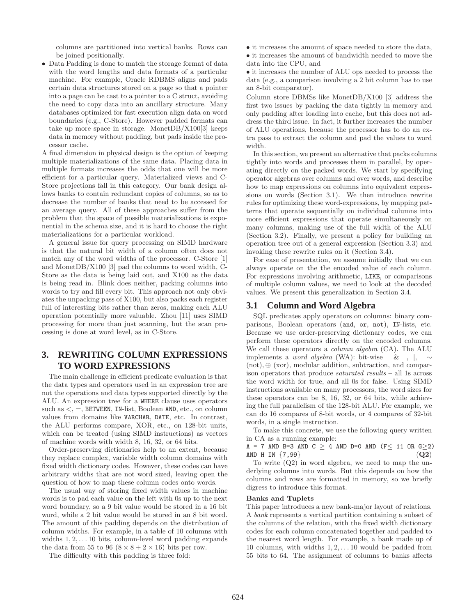columns are partitioned into vertical banks. Rows can be joined positionally.

• Data Padding is done to match the storage format of data with the word lengths and data formats of a particular machine. For example, Oracle RDBMS aligns and pads certain data structures stored on a page so that a pointer into a page can be cast to a pointer to a C struct, avoiding the need to copy data into an ancillary structure. Many databases optimized for fast execution align data on word boundaries (e.g., C-Store). However padded formats can take up more space in storage. MonetDB/X100[3] keeps data in memory without padding, but pads inside the processor cache.

A final dimension in physical design is the option of keeping multiple materializations of the same data. Placing data in multiple formats increases the odds that one will be more efficient for a particular query. Materialized views and C-Store projections fall in this category. Our bank design allows banks to contain redundant copies of columns, so as to decrease the number of banks that need to be accessed for an average query. All of these approaches suffer from the problem that the space of possible materializations is exponential in the schema size, and it is hard to choose the right materializations for a particular workload.

A general issue for query processing on SIMD hardware is that the natural bit width of a column often does not match any of the word widths of the processor. C-Store [1] and MonetDB/X100 [3] pad the columns to word width, C-Store as the data is being laid out, and X100 as the data is being read in. Blink does neither, packing columns into words to try and fill every bit. This approach not only obviates the unpacking pass of X100, but also packs each register full of interesting bits rather than zeros, making each ALU operation potentially more valuable. Zhou [11] uses SIMD processing for more than just scanning, but the scan processing is done at word level, as in C-Store.

# **3. REWRITING COLUMN EXPRESSIONS TO WORD EXPRESSIONS**

The main challenge in efficient predicate evaluation is that the data types and operators used in an expression tree are not the operations and data types supported directly by the ALU. An expression tree for a WHERE clause uses operators such as  $\lt$ ,  $=$ , BETWEEN, IN-list, Boolean AND, etc., on column values from domains like VARCHAR, DATE, etc. In contrast, the ALU performs compare, XOR, etc., on 128-bit units, which can be treated (using SIMD instructions) as vectors of machine words with width 8, 16, 32, or 64 bits.

Order-preserving dictionaries help to an extent, because they replace complex, variable width column domains with fixed width dictionary codes. However, these codes can have arbitrary widths that are not word sized, leaving open the question of how to map these column codes onto words.

The usual way of storing fixed width values in machine words is to pad each value on the left with 0s up to the next word boundary, so a 9 bit value would be stored in a 16 bit word, while a 2 bit value would be stored in an 8 bit word. The amount of this padding depends on the distribution of column widths. For example, in a table of 10 columns with widths  $1, 2, \ldots$  10 bits, column-level word padding expands the data from 55 to 96  $(8 \times 8 + 2 \times 16)$  bits per row.

The difficulty with this padding is three fold:

- it increases the amount of space needed to store the data,
- it increases the amount of bandwidth needed to move the data into the CPU, and

• it increases the number of ALU ops needed to process the data (e.g., a comparison involving a 2 bit column has to use an 8-bit comparator).

Column store DBMSs like MonetDB/X100 [3] address the first two issues by packing the data tightly in memory and only padding after loading into cache, but this does not address the third issue. In fact, it further increases the number of ALU operations, because the processor has to do an extra pass to extract the column and pad the values to word width.

In this section, we present an alternative that packs columns tightly into words and processes them in parallel, by operating directly on the packed words. We start by specifying operator algebras over columns and over words, and describe how to map expressions on columns into equivalent expressions on words (Section 3.1). We then introduce rewrite rules for optimizing these word-expressions, by mapping patterns that operate sequentially on individual columns into more efficient expressions that operate simultaneously on many columns, making use of the full width of the ALU (Section 3.2). Finally, we present a policy for building an operation tree out of a general expression (Section 3.3) and invoking these rewrite rules on it (Section 3.4).

For ease of presentation, we assume initially that we can always operate on the the encoded value of each column. For expressions involving arithmetic, LIKE, or comparisons of multiple column values, we need to look at the decoded values. We present this generalization in Section 3.4.

### **3.1 Column and Word Algebra**

SQL predicates apply operators on columns: binary comparisons, Boolean operators (and, or, not), IN-lists, etc. Because we use order-preserving dictionary codes, we can perform these operators directly on the encoded columns. We call these operators a column algebra (CA). The ALU implements a *word algebra* (WA): bit-wise & ,  $\vert$ ,  $\sim$  $(not), \oplus (xor),$  modular addition, subtraction, and comparison operators that produce saturated results – all 1s across the word width for true, and all 0s for false. Using SIMD instructions available on many processors, the word sizes for these operators can be 8, 16, 32, or 64 bits, while achieving the full parallelism of the 128-bit ALU. For example, we can do 16 compares of 8-bit words, or 4 compares of 32-bit words, in a single instruction.

To make this concrete, we use the following query written in CA as a running example:

 $A = 7$  AND B=3 AND C  $\geq$  4 AND D=0 AND (F $\leq$  11 OR G $\geq$ 2) AND H IN  $\{7,99\}$  (Q2)

To write (Q2) in word algebra, we need to map the underlying columns into words. But this depends on how the columns and rows are formatted in memory, so we briefly digress to introduce this format.

#### Banks and Tuplets

This paper introduces a new bank-major layout of relations. A bank represents a vertical partition containing a subset of the columns of the relation, with the fixed width dictionary codes for each column concatenated together and padded to the nearest word length. For example, a bank made up of 10 columns, with widths  $1, 2, \ldots$  10 would be padded from 55 bits to 64. The assignment of columns to banks affects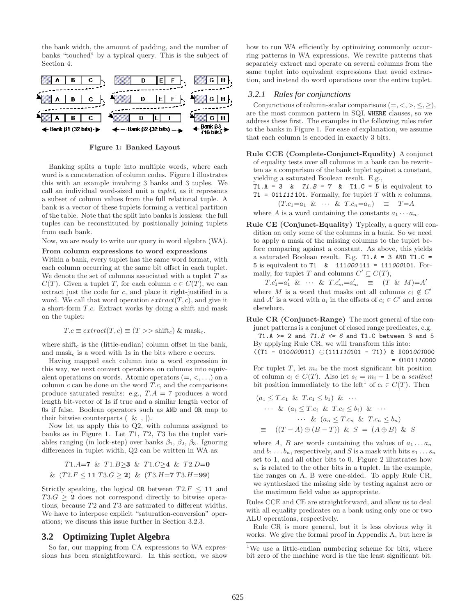the bank width, the amount of padding, and the number of banks "touched" by a typical query. This is the subject of Section 4.



Figure 1: Banked Layout

Banking splits a tuple into multiple words, where each word is a concatenation of column codes. Figure 1 illustrates this with an example involving 3 banks and 3 tuples. We call an individual word-sized unit a tuplet, as it represents a subset of column values from the full relational tuple. A bank is a vector of these tuplets forming a vertical partition of the table. Note that the split into banks is lossless: the full tuples can be reconstituted by positionally joining tuplets from each bank.

Now, we are ready to write our query in word algebra (WA).

#### From column expressions to word expressions

Within a bank, every tuplet has the same word format, with each column occurring at the same bit offset in each tuplet. We denote the set of columns associated with a tuplet  $T$  as  $C(T)$ . Given a tuplet T, for each column  $c \in C(T)$ , we can extract just the code for c, and place it right-justified in a word. We call that word operation  $extract(T, c)$ , and give it a short-form T.c. Extract works by doing a shift and mask on the tuplet:

$$
T.c \equiv extract(T, c) \equiv (T >> shift_c) \& mask_c.
$$

where shift<sub>c</sub> is the (little-endian) column offset in the bank, and  $\text{mask}_c$  is a word with 1s in the bits where  $c$  occurs.

Having mapped each column into a word expression in this way, we next convert operations on columns into equivalent operations on words. Atomic operators  $(=, \leq, \ldots)$  on a column  $c$  can be done on the word  $T.c$ , and the comparisons produce saturated results: e.g.,  $T.A = 7$  produces a word length bit-vector of 1s if true and a similar length vector of 0s if false. Boolean operators such as AND and OR map to their bitwise counterparts  $(\&$ ,  $|)$ .

Now let us apply this to Q2, with columns assigned to banks as in Figure 1. Let  $T1$ ,  $T2$ ,  $T3$  be the tuplet variables ranging (in lock-step) over banks  $\beta_1$ ,  $\beta_2$ ,  $\beta_3$ . Ignoring differences in tuplet width, Q2 can be written in WA as:

$$
T1.A=7 \& T1.B \ge 3 \& T1.C \ge 4 \& T2.D=0
$$
  

$$
\& (T2.F \le 11|T3.G \ge 2) \& (T3.H=7|T3.H=99)
$$

Strictly speaking, the logical OR between  $T2.F \leq 11$  and  $T3.G \geq 2$  does not correspond directly to bitwise operations, because T2 and T3 are saturated to different widths. We have to interpose explicit "saturation-conversion" operations; we discuss this issue further in Section 3.2.3.

#### **3.2 Optimizing Tuplet Algebra**

So far, our mapping from CA expressions to WA expressions has been straightforward. In this section, we show how to run WA efficiently by optimizing commonly occurring patterns in WA expressions. We rewrite patterns that separately extract and operate on several columns from the same tuplet into equivalent expressions that avoid extraction, and instead do word operations over the entire tuplet.

### *3.2.1 Rules for conjunctions*

Conjunctions of column-scalar comparisons  $(=, <, >, \leq, \geq),$ are the most common pattern in SQL WHERE clauses, so we address these first. The examples in the following rules refer to the banks in Figure 1. For ease of explanation, we assume that each column is encoded in exactly 3 bits.

- Rule CCE (Complete-Conjunct-Equality) A conjunct of equality tests over all columns in a bank can be rewritten as a comparison of the bank tuplet against a constant, yielding a saturated Boolean result. E.g.,
	- **T1.A** = 3 &  $T1.B = 7$  & **T1.C** = 5 is equivalent to T1 = 011111101. Formally, for tuplet T with n columns,<br> $(Tc_1-a_1)$ ,  $\overline{k}_1$ ,  $Tc_2-a_3$ ,  $\overline{k}_2$ ,  $Tc_3-a_1$ ,  $\overline{k}_1$ ,  $\overline{k}_2$ ,  $\overline{k}_2$ ,  $\overline{k}_2$ ,  $\overline{k}_2$ ,  $\overline{k}_2$ ,  $\overline{k}_2$ ,  $\overline{k}_2$ ,  $\overline{k}_2$ ,  $\overline{k}_2$ ,  $\overline{k}_2$ ,  $\$

$$
(T.c1=a1 \& \cdots \& T.cn=an) \equiv T=A
$$

where A is a word containing the constants  $a_1 \cdots a_n$ .

Rule CE (Conjunct-Equality) Typically, a query will condition on only some of the columns in a bank. So we need to apply a mask of the missing columns to the tuplet before comparing against a constant. As above, this yields a saturated Boolean result. E.g.  $T1.A = 3 AND T1.C =$ 5 is equivalent to T1 & 111000 111 = 111000101. Formally, for tuplet T and columns  $C' \subseteq C(T)$ ,

 $T.c'_1 = a'_1 \& \cdots \& T.c'_m = a'_m \equiv (T \& M) = A'$ where M is a word that masks out all columns  $c_i \notin C'$ and A' is a word with  $a_i$  in the offsets of  $c_i \in C'$  and zeros elsewhere.

Rule CR (Conjunct-Range) The most general of the conjunct patterns is a conjunct of closed range predicates, e.g. T1.A  $>=$  2 and T1.B  $<=$  6 and T1.C between 3 and 5 By applying Rule CR, we will transform this into:  $((T1 - 010000011) \oplus (111110101 - T1))$  & 1001001000  $= 0101110000$ 

For tuplet  $T$ , let  $m_i$  be the most significant bit position of column  $c_i \in C(T)$ . Also let  $s_i = m_i + 1$  be a sentinel bit position immediately to the left<sup>1</sup> of  $c_i \in C(T)$ . Then

$$
(a_1 \leq T.c_1 \& T.c_1 \leq b_1) \& \cdots
$$
  
\n
$$
\cdots \& (a_i \leq T.c_i \& T.c_i \leq b_i) \& \cdots
$$
  
\n
$$
\cdots \& (a_n \leq T.c_n \& T.c_n \leq b_n)
$$
  
\n
$$
\equiv ((T-A) \oplus (B-T)) \& S = (A \oplus B) \& S
$$

where A, B are words containing the values of  $a_1 \ldots a_n$ and  $b_1 \ldots b_n$ , respectively, and S is a mask with bits  $s_1 \ldots s_n$ set to 1, and all other bits to 0. Figure 2 illustrates how  $s_i$  is related to the other bits in a tuplet. In the example, the ranges on A, B were one-sided. To apply Rule CR, we synthesized the missing side by testing against zero or the maximum field value as appropriate.

Rules CCE and CE are straightforward, and allow us to deal with all equality predicates on a bank using only one or two ALU operations, respectively.

Rule CR is more general, but it is less obvious why it works. We give the formal proof in Appendix A, but here is

<sup>&</sup>lt;sup>1</sup>We use a little-endian numbering scheme for bits, where bit zero of the machine word is the the least significant bit.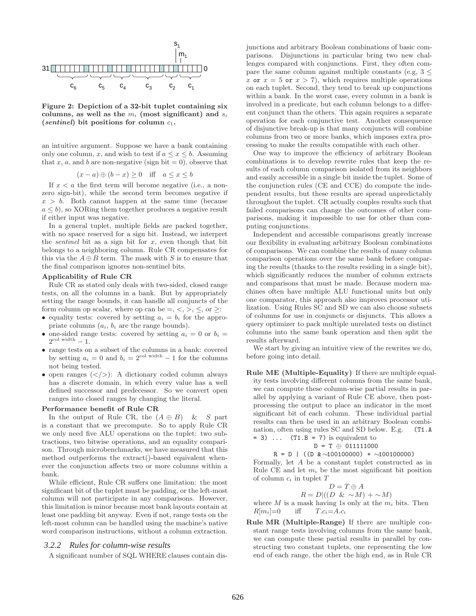

Figure 2: Depiction of a 32-bit tuplet containing six columns, as well as the  $m_i$  (most significant) and  $s_i$ (sentinel) bit positions for column  $c_1$ .

an intuitive argument. Suppose we have a bank containing only one column, x, and wish to test if  $a \leq x \leq b$ . Assuming that x, a, and b are non-negative (sign bit  $= 0$ ), observe that

$$
(x-a) \oplus (b-x) \ge 0
$$
 iff  $a \le x \le b$ 

If  $x < a$  the first term will become negative (i.e., a nonzero sign-bit), while the second term becomes negative if  $x > b$ . Both cannot happen at the same time (because  $a \leq b$ , so XORing them together produces a negative result if either input was negative.

In a general tuplet, multiple fields are packed together, with no space reserved for a sign bit. Instead, we interpret the *sentinel* bit as a sign bit for  $x$ , even though that bit belongs to a neighboring column. Rule CR compensates for this via the  $A \oplus B$  term. The mask with S is to ensure that the final comparison ignores non-sentinel bits.

#### Applicability of Rule CR

Rule CR as stated only deals with two-sided, closed range tests, on all the columns in a bank. But by appropriately setting the range bounds, it can handle all conjuncts of the form column op scalar, where op can be  $=, <, >, \le$ , or  $\ge$ :

- equality tests: covered by setting  $a_i = b_i$  for the appropriate columns  $(a_i, b_i)$  are the range bounds).
- one-sided range tests: covered by setting  $a_i = 0$  or  $b_i =$  $2^{\text{col width}} - 1.$
- range tests on a subset of the columns in a bank: covered by setting  $a_i = 0$  and  $b_i = 2^{\text{col width}} - 1$  for the columns not being tested.
- open ranges  $\left\langle \langle \rangle \right\rangle$ : A dictionary coded column always has a discrete domain, in which every value has a well defined successor and predecessor. So we convert open ranges into closed ranges by changing the literal.

#### Performance benefit of Rule CR

In the output of Rule CR, the  $(A \oplus B)$  & S part is a constant that we precompute. So to apply Rule CR we only need five ALU operations on the tuplet: two subtractions, two bitwise operations, and an equality comparison. Through microbenchmarks, we have measured that this method outperforms the extract()-based equivalent whenever the conjunction affects two or more columns within a bank.

While efficient, Rule CR suffers one limitation: the most significant bit of the tuplet must be padding, or the left-most column will not participate in any comparisons. However, this limitation is minor because most bank layouts contain at least one padding bit anyway. Even if not, range tests on the left-most column can be handled using the machine's native word comparison instructions, without a column extraction.

#### *3.2.2 Rules for column-wise results*

A significant number of SQL WHERE clauses contain dis-

junctions and arbitrary Boolean combinations of basic comparisons. Disjunctions in particular bring two new challenges compared with conjunctions. First, they often compare the same column against multiple constants (e.g,  $3 \leq$ x or  $x = 5$  or  $x > 7$ , which requires multiple operations on each tuplet. Second, they tend to break up conjunctions within a bank. In the worst case, every column in a bank is involved in a predicate, but each column belongs to a different conjunct than the others. This again requires a separate operation for each conjunctive test. Another consequence of disjunctive break-up is that many conjuncts will combine columns from two or more banks, which imposes extra processing to make the results compatible with each other.

One way to improve the efficiency of arbitrary Boolean combinations is to develop rewrite rules that keep the results of each column comparison isolated from its neighbors and easily accessible in a single bit inside the tuplet. Some of the conjunction rules (CE and CCE) do compute the independent results, but these results are spread unpredictably throughout the tuplet. CR actually couples results such that failed comparisons can change the outcomes of other comparisons, making it impossible to use for other than computing conjunctions.

Independent and accessible comparisons greatly increase our flexibility in evaluating arbitrary Boolean combinations of comparisons. We can combine the results of many column comparison operations over the same bank before comparing the results (thanks to the results residing in a single bit), which significantly reduces the number of column extracts and comparisons that must be made. Because modern machines often have multiple ALU functional units but only one comparator, this approach also improves processor utilization. Using Rules SC and SD we can also choose subsets of columns for use in conjuncts or disjuncts. This allows a query optimizer to pack multiple unrelated tests on distinct columns into the same bank operation and then split the results afterward.

We start by giving an intuitive view of the rewrites we do, before going into detail.

Rule ME (Multiple-Equality) If there are multiple equality tests involving different columns from the same bank, we can compute these column-wise partial results in parallel by applying a variant of Rule CE above, then postprocessing the output to place an indicator in the most significant bit of each column. These individual partial results can then be used in an arbitrary Boolean combination, often using rules SC and SD below. E.g. (T1.A  $= 3)$  ... (T1.B  $= 7)$  is equivalent to

$$
D = T \oplus 011111000
$$

 $R = D \mid ((D \& \sim 100100000) + \sim 100100000)$ 

Formally, let A be a constant tuplet constructed as in Rule CE and let  $m_i$  be the most significant bit position of column  $c_i$  in tuplet  $T$ 

$$
D = T \oplus A
$$
  

$$
R = D|((D \& \sim M) + \sim M)
$$

where M is a mask having 1s only at the  $m_i$  bits. Then  $R[m_i]=0$  iff  $T.c_i=A.c_i$ 

Rule MR (Multiple-Range) If there are multiple constant range tests involving columns from the same bank, we can compute these partial results in parallel by constructing two constant tuplets, one representing the low end of each range, the other the high end, as in Rule CR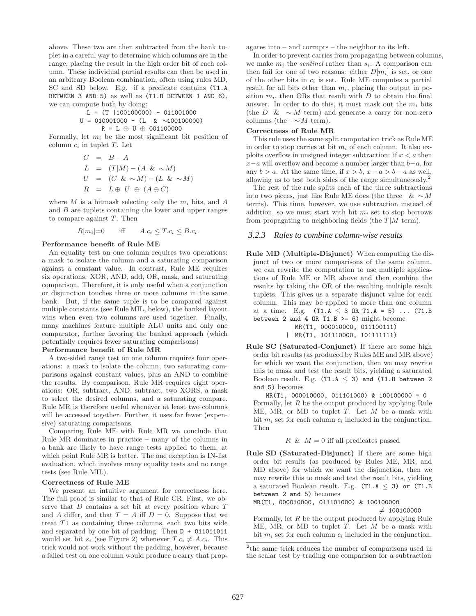above. These two are then subtracted from the bank tuplet in a careful way to determine which columns are in the range, placing the result in the high order bit of each column. These individual partial results can then be used in an arbitrary Boolean combination, often using rules MD, SC and SD below. E.g. if a predicate contains (T1.A BETWEEN 3 AND 5) as well as (T1.B BETWEEN 1 AND 6), we can compute both by doing:

$$
L = (T | 100100000) - 011001000
$$
  
U = 010001000 - (L &  $\sim$ 100100000)  
R = L  $\oplus$  U  $\oplus$  001100000

Formally, let  $m_i$  be the most significant bit position of column  $c_i$  in tuplet  $T$ . Let

$$
C = B - A
$$
  
\n
$$
L = (T|M) - (A \& \sim M)
$$
  
\n
$$
U = (C \& \sim M) - (L \& \sim M)
$$
  
\n
$$
R = L \oplus U \oplus (A \oplus C)
$$

where  $M$  is a bitmask selecting only the  $m_i$  bits, and  $A$ and  $B$  are tuplets containing the lower and upper ranges to compare against  $T$ . Then

$$
R[m_i]=0 \quad \text{iff} \quad A.c_i \leq T.c_i \leq B.c_i.
$$

#### Performance benefit of Rule ME

An equality test on one column requires two operations: a mask to isolate the column and a saturating comparison against a constant value. In contrast, Rule ME requires six operations: XOR, AND, add, OR, mask, and saturating comparison. Therefore, it is only useful when a conjunction or disjunction touches three or more columns in the same bank. But, if the same tuple is to be compared against multiple constants (see Rule MIL, below), the banked layout wins when even two columns are used together. Finally, many machines feature multiple ALU units and only one comparator, further favoring the banked approach (which potentially requires fewer saturating comparisons)

Performance benefit of Rule MR

A two-sided range test on one column requires four operations: a mask to isolate the column, two saturating comparisons against constant values, plus an AND to combine the results. By comparison, Rule MR requires eight operations: OR, subtract, AND, subtract, two XORS, a mask to select the desired columns, and a saturating compare. Rule MR is therefore useful whenever at least two columns will be accessed together. Further, it uses far fewer (expensive) saturating comparisons.

Comparing Rule ME with Rule MR we conclude that Rule MR dominates in practice – many of the columns in a bank are likely to have range tests applied to them, at which point Rule MR is better. The one exception is IN-list evaluation, which involves many equality tests and no range tests (see Rule MIL).

#### Correctness of Rule ME

We present an intuitive argument for correctness here. The full proof is similar to that of Rule CR. First, we observe that  $D$  contains a set bit at every position where  $T$ and A differ, and that  $T = A$  iff  $D = 0$ . Suppose that we treat T1 as containing three columns, each two bits wide and separated by one bit of padding. Then  $D + 011011011$ would set bit  $s_i$  (see Figure 2) whenever  $T.c_i \neq A.c_i$ . This trick would not work without the padding, however, because a failed test on one column would produce a carry that propagates into – and corrupts – the neighbor to its left.

In order to prevent carries from propagating between columns, we make  $m_i$  the *sentinel* rather than  $s_i$ . A comparison can then fail for one of two reasons: either  $D[m_i]$  is set, or one of the other bits in  $c_i$  is set. Rule ME computes a partial result for all bits other than  $m_i$ , placing the output in position  $m_i$ , then ORs that result with D to obtain the final answer. In order to do this, it must mask out the  $m_i$  bits (the D &  $\sim M$  term) and generate a carry for non-zero columns (the  $+\sim M$  term).

### Correctness of Rule MR

This rule uses the same split computation trick as Rule ME in order to stop carries at bit  $m_i$  of each column. It also exploits overflow in unsigned integer subtraction: if  $x < a$  then  $x-a$  will overflow and become a number larger than  $b-a$ , for any  $b > a$ . At the same time, if  $x > b$ ,  $x - a > b - a$  as well, allowing us to test both sides of the range simultaneously.<sup>2</sup>

The rest of the rule splits each of the three subtractions into two pieces, just like Rule ME does (the three &  $\sim M$ terms). This time, however, we use subtraction instead of addition, so we must start with bit  $m_i$  set to stop borrows from propagating to neighboring fields (the  $T/M$  term).

### *3.2.3 Rules to combine column-wise results*

Rule MD (Multiple-Disjunct) When computing the disjunct of two or more comparisons of the same column, we can rewrite the computation to use multiple applications of Rule ME or MR above and then combine the results by taking the OR of the resulting multiple result tuplets. This gives us a separate disjunct value for each column. This may be applied to more than one column at a time. E.g. (T1.A  $\leq$  3 OR T1.A = 5) ... (T1.B between 2 and 4 OR T1.B  $\ge$  6) might become

MR(T1, 000010000, 011100111) | MR(T1, 101110000, 101111111)

Rule SC (Saturated-Conjunct) If there are some high order bit results (as produced by Rules ME and MR above) for which we want the conjunction, then we may rewrite this to mask and test the result bits, yielding a saturated Boolean result. E.g. (T1.A  $\leq$  3) and (T1.B between 2 and 5) becomes

MR(T1, 000010000, 011101000) & 100100000 = 0 Formally, let R be the output produced by applying Rule ME, MR, or MD to tuplet  $T$ . Let  $M$  be a mask with bit  $m_i$  set for each column  $c_i$  included in the conjunction. Then

 $R \& M = 0$  iff all predicates passed

Rule SD (Saturated-Disjunct) If there are some high order bit results (as produced by Rules ME, MR, and MD above) for which we want the disjunction, then we may rewrite this to mask and test the result bits, yielding a saturated Boolean result. E.g. (T1.A  $\leq$  3) or (T1.B between 2 and 5) becomes

MR(T1, 000010000, 011101000) & 100100000

#### $\neq 100100000$

Formally, let R be the output produced by applying Rule ME, MR, or MD to tuplet  $T$ . Let  $M$  be a mask with bit  $m_i$  set for each column  $c_i$  included in the conjunction.

<sup>&</sup>lt;sup>2</sup>the same trick reduces the number of comparisons used in the scalar test by trading one comparison for a subtraction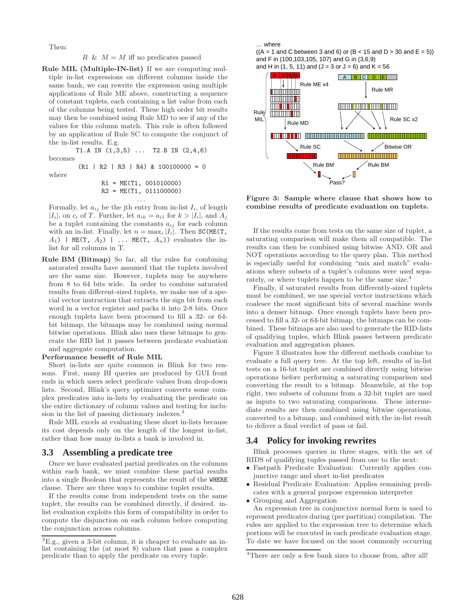Then:

#### R &  $M = M$  iff no predicates passed

Rule MIL (Multiple-IN-list) If we are computing multiple in-list expressions on different columns inside the same bank, we can rewrite the expression using multiple applications of Rule ME above, constructing a sequence of constant tuplets, each containing a list value from each of the columns being tested. These high order bit results may then be combined using Rule MD to see if any of the values for this column match. This rule is often followed by an application of Rule SC to compute the conjunct of the in-list results. E.g.

T1.A IN (1,3,5) ... T2.B IN (2,4,6) becomes  $(R1 | R2 | R3 | R4)$  & 100100000 = 0

where

R1 = ME(T1, 001010000) R2 = ME(T1, 011100000) . . .

Formally, let  $a_{ij}$  be the jth entry from in-list  $I_i$ , of length  $|I_i|$ , on  $c_i$  of T. Further, let  $a_{ik} = a_{i1}$  for  $k > |I_i|$ , and  $A_i$ be a tuplet containing the constants  $a_{ij}$  for each column with an in-list. Finally, let  $n = \max_i |I_i|$ . Then SC(ME(T,  $A_1$ ) | ME(T,  $A_2$ ) | ... ME(T,  $A_n$ )) evaluates the inlist for all columns in T.

Rule BM (Bitmap) So far, all the rules for combining saturated results have assumed that the tuplets involved are the same size. However, tuplets may be anywhere from 8 to 64 bits wide. In order to combine saturated results from different-sized tuplets, we make use of a special vector instruction that extracts the sign bit from each word in a vector register and packs it into 2-8 bits. Once enough tuplets have been processed to fill a 32- or 64 bit bitmap, the bitmaps may be combined using normal bitwise operations. Blink also uses these bitmaps to generate the RID list it passes between predicate evaluation and aggregate computation.

#### Performance benefit of Rule MIL

Short in-lists are quite common in Blink for two reasons. First, many BI queries are produced by GUI front ends in which users select predicate values from drop-down lists. Second, Blink's query optimizer converts some complex predicates into in-lists by evaluating the predicate on the entire dictionary of column values and testing for inclusion in the list of passing dictionary indexes.<sup>3</sup>

Rule MIL excels at evaluating these short in-lists because its cost depends only on the length of the longest in-list, rather than how many in-lists a bank is involved in.

### **3.3 Assembling a predicate tree**

Once we have evaluated partial predicates on the columns within each bank, we must combine these partial results into a single Boolean that represents the result of the WHERE clause. There are three ways to combine tuplet results.

If the results come from independent tests on the same tuplet, the results can be combined directly, if desired. inlist evaluation exploits this form of compatibility in order to compute the disjunction on each column before computing the conjunction across columns.

… where

 $((A = 1 \text{ and } C \text{ between } 3 \text{ and } 6) \text{ or } (B < 15 \text{ and } D > 30 \text{ and } E = 5))$ and F in (100,103,105, 107) and G in (3,6,9) and H in (1, 5, 11) and ( $J = 3$  or  $J = 6$ ) and  $K = 56$ 



Figure 3: Sample where clause that shows how to combine results of predicate evaluation on tuplets.

If the results come from tests on the same size of tuplet, a saturating comparison will make them all compatible. The results can then be combined using bitwise AND, OR and NOT operations according to the query plan. This method is especially useful for combining "mix and match" evaluations where subsets of a tuplet's columns were used separately, or where tuplets happen to be the same size.<sup>4</sup>

Finally, if saturated results from differently-sized tuplets must be combined, we use special vector instructions which coalesce the most significant bits of several machine words into a denser bitmap. Once enough tuplets have been processed to fill a 32- or 64-bit bitmap, the bitmaps can be combined. These bitmaps are also used to generate the RID-lists of qualifying tuples, which Blink passes between predicate evaluation and aggregation phases.

Figure 3 illustrates how the different methods combine to evaluate a full query tree. At the top left, results of in-list tests on a 16-bit tuplet are combined directly using bitwise operations before performing a saturating comparison and converting the result to a bitmap. Meanwhile, at the top right, two subsets of columns from a 32-bit tuplet are used as inputs to two saturating comparisons. These intermediate results are then combined using bitwise operations, converted to a bitmap, and combined with the in-list result to deliver a final verdict of pass or fail.

#### **3.4 Policy for invoking rewrites**

Blink processes queries in three stages, with the set of RIDS of qualifying tuples passed from one to the next:

- Fastpath Predicate Evaluation: Currently applies conjunctive range and short in-list predicates
- Residual Predicate Evaluation: Applies remaining predicates with a general purpose expression interpreter
- Grouping and Aggregation

An expression tree in conjunctive normal form is used to represent predicates during (per partition) compilation. The rules are applied to the expression tree to determine which portions will be executed in each predicate evaluation stage. To date we have focused on the most commonly occurring

<sup>3</sup>E.g., given a 3-bit column, it is cheaper to evaluate an inlist containing the (at most 8) values that pass a complex predicate than to apply the predicate on every tuple.

<sup>&</sup>lt;sup>4</sup>There are only a few bank sizes to choose from, after all!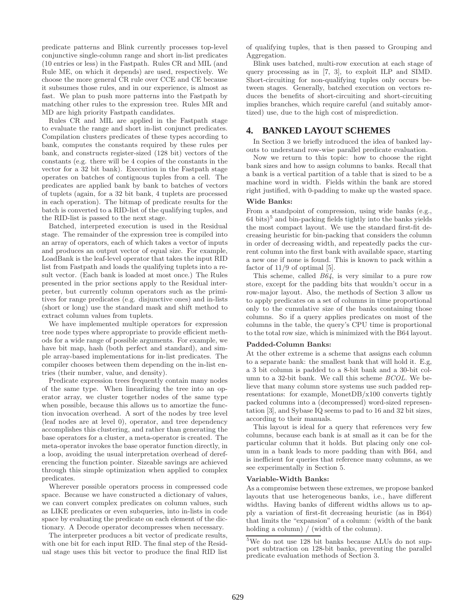predicate patterns and Blink currently processes top-level conjunctive single-column range and short in-list predicates (10 entries or less) in the Fastpath. Rules CR and MIL (and Rule ME, on which it depends) are used, respectively. We choose the more general CR rule over CCE and CE because it subsumes those rules, and in our experience, is almost as fast. We plan to push more patterns into the Fastpath by matching other rules to the expression tree. Rules MR and MD are high priority Fastpath candidates.

Rules CR and MIL are applied in the Fastpath stage to evaluate the range and short in-list conjunct predicates. Compilation clusters predicates of these types according to bank, computes the constants required by these rules per bank, and constructs register-sized (128 bit) vectors of the constants (e.g. there will be 4 copies of the constants in the vector for a 32 bit bank). Execution in the Fastpath stage operates on batches of contiguous tuples from a cell. The predicates are applied bank by bank to batches of vectors of tuplets (again, for a 32 bit bank, 4 tuplets are processed in each operation). The bitmap of predicate results for the batch is converted to a RID-list of the qualifying tuples, and the RID-list is passed to the next stage.

Batched, interpreted execution is used in the Residual stage. The remainder of the expression tree is compiled into an array of operators, each of which takes a vector of inputs and produces an output vector of equal size. For example, LoadBank is the leaf-level operator that takes the input RID list from Fastpath and loads the qualifying tuplets into a result vector. (Each bank is loaded at most once.) The Rules presented in the prior sections apply to the Residual interpreter, but currently column operators such as the primitives for range predicates (e.g. disjunctive ones) and in-lists (short or long) use the standard mask and shift method to extract column values from tuplets.

We have implemented multiple operators for expression tree node types where appropriate to provide efficient methods for a wide range of possible arguments. For example, we have bit map, hash (both perfect and standard), and simple array-based implementations for in-list predicates. The compiler chooses between them depending on the in-list entries (their number, value, and density).

Predicate expression trees frequently contain many nodes of the same type. When linearlizing the tree into an operator array, we cluster together nodes of the same type when possible, because this allows us to amortize the function invocation overhead. A sort of the nodes by tree level (leaf nodes are at level 0), operator, and tree dependency accomplishes this clustering, and rather than generating the base operators for a cluster, a meta-operator is created. The meta-operator invokes the base operator function directly, in a loop, avoiding the usual interpretation overhead of dereferencing the function pointer. Sizeable savings are achieved through this simple optimization when applied to complex predicates.

Wherever possible operators process in compressed code space. Because we have constructed a dictionary of values, we can convert complex predicates on column values, such as LIKE predicates or even subqueries, into in-lists in code space by evaluating the predicate on each element of the dictionary. A Decode operator decompresses when necessary.

The interpreter produces a bit vector of predicate results, with one bit for each input RID. The final step of the Residual stage uses this bit vector to produce the final RID list of qualifying tuples, that is then passed to Grouping and Aggregation.

Blink uses batched, multi-row execution at each stage of query processing as in [7, 3], to exploit ILP and SIMD. Short-circuiting for non-qualifying tuples only occurs between stages. Generally, batched execution on vectors reduces the benefits of short-circuiting and short-circuiting implies branches, which require careful (and suitably amortized) use, due to the high cost of misprediction.

# **4. BANKED LAYOUT SCHEMES**

In Section 3 we briefly introduced the idea of banked layouts to understand row-wise parallel predicate evaluation.

Now we return to this topic: how to choose the right bank sizes and how to assign columns to banks. Recall that a bank is a vertical partition of a table that is sized to be a machine word in width. Fields within the bank are stored right justified, with 0-padding to make up the wasted space.

#### Wide Banks:

From a standpoint of compression, using wide banks (e.g.,  $64 \text{ bits}$ <sup>5</sup> and bin-packing fields tightly into the banks yields the most compact layout. We use the standard first-fit decreasing heuristic for bin-packing that considers the column in order of decreasing width, and repeatedly packs the current column into the first bank with available space, starting a new one if none is found. This is known to pack within a factor of  $11/9$  of optimal [5].

This scheme, called  $B64$ , is very similar to a pure row store, except for the padding bits that wouldn't occur in a row-major layout. Also, the methods of Section 3 allow us to apply predicates on a set of columns in time proportional only to the cumulative size of the banks containing those columns. So if a query applies predicates on most of the columns in the table, the query's CPU time is proportional to the total row size, which is minimized with the B64 layout.

#### Padded-Column Banks:

At the other extreme is a scheme that assigns each column to a separate bank: the smallest bank that will hold it. E.g, a 3 bit column is padded to a 8-bit bank and a 30-bit column to a 32-bit bank. We call this scheme BCOL. We believe that many column store systems use such padded representations: for example, MonetDB/x100 converts tightly packed columns into a (decompressed) word-sized representation [3], and Sybase IQ seems to pad to 16 and 32 bit sizes, according to their manuals.

This layout is ideal for a query that references very few columns, because each bank is at small as it can be for the particular column that it holds. But placing only one column in a bank leads to more padding than with B64, and is inefficient for queries that reference many columns, as we see experimentally in Section 5.

#### Variable-Width Banks:

As a compromise between these extremes, we propose banked layouts that use heterogeneous banks, i.e., have different widths. Having banks of different widths allows us to apply a variation of first-fit decreasing heuristic (as in B64) that limits the "expansion" of a column: (width of the bank holding a column) / (width of the column).

<sup>5</sup>We do not use 128 bit banks because ALUs do not support subtraction on 128-bit banks, preventing the parallel predicate evaluation methods of Section 3.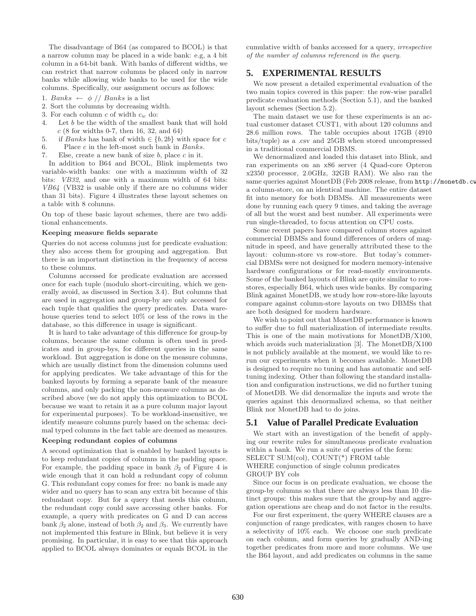The disadvantage of B64 (as compared to BCOL) is that a narrow column may be placed in a wide bank: e.g, a 4 bit column in a 64-bit bank. With banks of different widths, we can restrict that narrow columns be placed only in narrow banks while allowing wide banks to be used for the wide columns. Specifically, our assignment occurs as follows:

- 1. Banks  $\leftarrow \phi$  // Banks is a list
- 2. Sort the columns by decreasing width.
- 3. For each column  $c$  of width  $c_w$  do:
- 4. Let b be the width of the smallest bank that will hold  $c$  (8 for widths 0-7, then 16, 32, and 64)
- 5. if Banks has bank of width  $\in \{b, 2b\}$  with space for c
- 6. Place  $c$  in the left-most such bank in *Banks*.
- 7. Else, create a new bank of size b, place c in it.

In addition to B64 and BCOL, Blink implements two variable-width banks: one with a maximum width of 32 bits: VB32, and one with a maximum width of 64 bits: VB64 (VB32 is usable only if there are no columns wider than 31 bits). Figure 4 illustrates these layout schemes on a table with 8 columns.

On top of these basic layout schemes, there are two additional enhancements.

#### Keeping measure fields separate

Queries do not access columns just for predicate evaluation: they also access them for grouping and aggregation. But there is an important distinction in the frequency of access to these columns.

Columns accessed for predicate evaluation are accessed once for each tuple (modulo short-circuiting, which we generally avoid, as discussed in Section 3.4). But columns that are used in aggregation and group-by are only accessed for each tuple that qualifies the query predicates. Data warehouse queries tend to select 10% or less of the rows in the database, so this difference in usage is significant.

It is hard to take advantage of this difference for group-by columns, because the same column is often used in predicates and in group-bys, for different queries in the same workload. But aggregation is done on the measure columns, which are usually distinct from the dimension columns used for applying predicates. We take advantage of this for the banked layouts by forming a separate bank of the measure columns, and only packing the non-measure columns as described above (we do not apply this optimization to BCOL because we want to retain it as a pure column major layout for experimental purposes). To be workload-insensitive, we identify measure columns purely based on the schema: decimal typed columns in the fact table are deemed as measures.

#### Keeping redundant copies of columns

A second optimization that is enabled by banked layouts is to keep redundant copies of columns in the padding space. For example, the padding space in bank  $\beta_2$  of Figure 4 is wide enough that it can hold a redundant copy of column G. This redundant copy comes for free: no bank is made any wider and no query has to scan any extra bit because of this redundant copy. But for a query that needs this column, the redundant copy could save accessing other banks. For example, a query with predicates on G and D can access bank  $\beta_2$  alone, instead of both  $\beta_2$  and  $\beta_3$ . We currently have not implemented this feature in Blink, but believe it is very promising. In particular, it is easy to see that this approach applied to BCOL always dominates or equals BCOL in the cumulative width of banks accessed for a query, irrespective of the number of columns referenced in the query.

# **5. EXPERIMENTAL RESULTS**

We now present a detailed experimental evaluation of the two main topics covered in this paper: the row-wise parallel predicate evaluation methods (Section 5.1), and the banked layout schemes (Section 5.2).

The main dataset we use for these experiments is an actual customer dataset CUST1, with about 120 columns and 28.6 million rows. The table occupies about 17GB (4910 bits/tuple) as a .csv and 25GB when stored uncompressed in a traditional commercial DBMS.

We denormalized and loaded this dataset into Blink, and ran experiments on an x86 server (4 Quad-core Opteron x2350 processor, 2.0GHz, 32GB RAM). We also ran the same queries against MonetDB (Feb 2008 release, from http://monetdb.cv a column-store, on an identical machine. The entire dataset fit into memory for both DBMSs. All measurements were done by running each query 9 times, and taking the average of all but the worst and best number. All experiments were run single-threaded, to focus attention on CPU costs.

Some recent papers have compared column stores against commercial DBMSs and found differences of orders of magnitude in speed, and have generally attributed these to the layout: column-store vs row-store. But today's commercial DBMSs were not designed for modern memory-intensive hardware configurations or for read-mostly environments. Some of the banked layouts of Blink are quite similar to rowstores, especially B64, which uses wide banks. By comparing Blink against MonetDB, we study how row-store-like layouts compare against column-store layouts on two DBMSs that are both designed for modern hardware.

We wish to point out that MonetDB performance is known to suffer due to full materialization of intermediate results. This is one of the main motivations for MonetDB/X100, which avoids such materialization [3]. The MonetDB/X100 is not publicly available at the moment, we would like to rerun our experiments when it becomes available. MonetDB is designed to require no tuning and has automatic and selftuning indexing. Other than following the standard installation and configuration instructions, we did no further tuning of MonetDB. We did denormalize the inputs and wrote the queries against this denormalized schema, so that neither Blink nor MonetDB had to do joins.

## **5.1 Value of Parallel Predicate Evaluation**

We start with an investigation of the benefit of applying our rewrite rules for simultaneous predicate evaluation within a bank. We run a suite of queries of the form: SELECT SUM(col), COUNT(\*) FROM table WHERE conjunction of single column predicates GROUP BY cols

Since our focus is on predicate evaluation, we choose the group-by columns so that there are always less than 10 distinct groups: this makes sure that the group-by and aggregation operations are cheap and do not factor in the results.

For our first experiment, the query WHERE clauses are a conjunction of range predicates, with ranges chosen to have a selectivity of 10% each. We choose one such predicate on each column, and form queries by gradually AND-ing together predicates from more and more columns. We use the B64 layout, and add predicates on columns in the same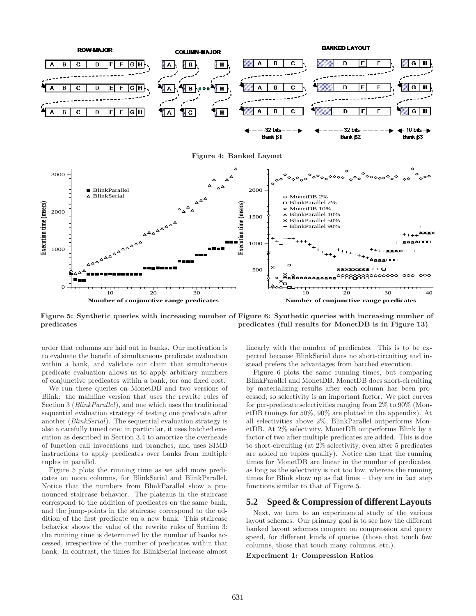

Figure 5: Synthetic queries with increasing number of Figure 6: Synthetic queries with increasing number of predicates predicates (full results for MonetDB is in Figure 13)

order that columns are laid out in banks. Our motivation is to evaluate the benefit of simultaneous predicate evaluation within a bank, and validate our claim that simultaneous predicate evaluation allows us to apply arbitrary numbers of conjunctive predicates within a bank, for one fixed cost.

We run these queries on MonetDB and two versions of Blink: the mainline version that uses the rewrite rules of Section 3 (*BlinkParallel*), and one which uses the traditional sequential evaluation strategy of testing one predicate after another  $(BlinkSerial)$ . The sequential evaluation strategy is also a carefully tuned one: in particular, it uses batched execution as described in Section 3.4 to amortize the overheads of function call invocations and branches, and uses SIMD instructions to apply predicates over banks from multiple tuples in parallel.

Figure 5 plots the running time as we add more predicates on more columns, for BlinkSerial and BlinkParallel. Notice that the numbers from BlinkParallel show a pronounced staircase behavior. The plateaus in the staircase correspond to the addition of predicates on the same bank, and the jump-points in the staircase correspond to the addition of the first predicate on a new bank. This staircase behavior shows the value of the rewrite rules of Section 3: the running time is determined by the number of banks accessed, irrespective of the number of predicates within that bank. In contrast, the times for BlinkSerial increase almost linearly with the number of predicates. This is to be expected because BlinkSerial does no short-circuiting and instead prefers the advantages from batched execution.

Figure 6 plots the same running times, but comparing BlinkParallel and MonetDB. MonetDB does short-circuiting by materializing results after each column has been processed; so selectivity is an important factor. We plot curves for per-predicate selectivities ranging from 2% to 90% (MonetDB timings for 50%, 90% are plotted in the appendix). At all selectivities above 2%, BlinkParallel outperforms MonetDB. At 2% selectivity, MonetDB outperforms Blink by a factor of two after multiple predicates are added. This is due to short-circuiting (at 2% selectivity, even after 5 predicates are added no tuples qualify). Notice also that the running times for MonetDB are linear in the number of predicates, as long as the selectivity is not too low, whereas the running times for Blink show up as flat lines – they are in fact step functions similar to that of Figure 5.

### **5.2 Speed & Compression of different Layouts**

Next, we turn to an experimental study of the various layout schemes. Our primary goal is to see how the different banked layout schemes compare on compression and query speed, for different kinds of queries (those that touch few columns, those that touch many columns, etc.).

Experiment 1: Compression Ratios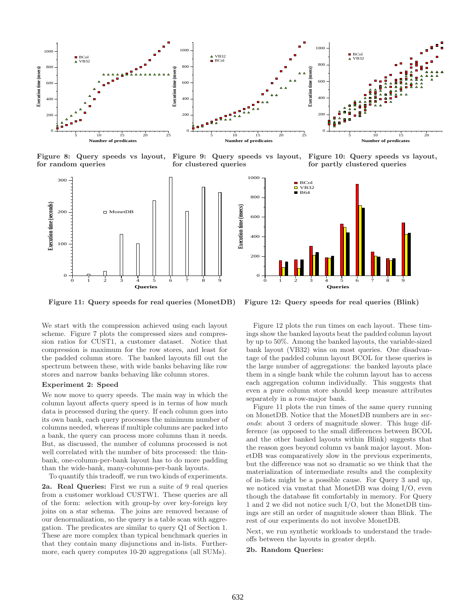

Figure 8: Query speeds vs layout, for random queries





Figure 11: Query speeds for real queries (MonetDB)

We start with the compression achieved using each layout scheme. Figure 7 plots the compressed sizes and compression ratios for CUST1, a customer dataset. Notice that compression is maximum for the row stores, and least for the padded column store. The banked layouts fill out the spectrum between these, with wide banks behaving like row stores and narrow banks behaving like column stores.

#### Experiment 2: Speed

We now move to query speeds. The main way in which the column layout affects query speed is in terms of how much data is processed during the query. If each column goes into its own bank, each query processes the minimum number of columns needed, whereas if multiple columns are packed into a bank, the query can process more columns than it needs. But, as discussed, the number of columns processed is not well correlated with the number of bits processed: the thinbank, one-column-per-bank layout has to do more padding than the wide-bank, many-columns-per-bank layouts.

To quantify this tradeoff, we run two kinds of experiments. 2a. Real Queries: First we run a suite of 9 real queries from a customer workload CUSTW1. These queries are all of the form: selection with group-by over key-foreign key joins on a star schema. The joins are removed because of our denormalization, so the query is a table scan with aggregation. The predicates are similar to query Q1 of Section 1. These are more complex than typical benchmark queries in that they contain many disjunctions and in-lists. Furthermore, each query computes 10-20 aggregations (all SUMs).



Figure 12: Query speeds for real queries (Blink)

Figure 12 plots the run times on each layout. These timings show the banked layouts beat the padded column layout by up to 50%. Among the banked layouts, the variable-sized bank layout (VB32) wins on most queries. One disadvantage of the padded column layout BCOL for these queries is the large number of aggregations: the banked layouts place them in a single bank while the column layout has to access each aggregation column individually. This suggests that even a pure column store should keep measure attributes separately in a row-major bank.

Figure 11 plots the run times of the same query running on MonetDB. Notice that the MonetDB numbers are in seconds: about 3 orders of magnitude slower. This huge difference (as opposed to the small differences between BCOL and the other banked layouts within Blink) suggests that the reason goes beyond column vs bank major layout. MonetDB was comparatively slow in the previous experiments, but the difference was not so dramatic so we think that the materialization of intermediate results and the complexity of in-lists might be a possible cause. For Query 3 and up, we noticed via vmstat that MonetDB was doing I/O, even though the database fit comfortably in memory. For Query 1 and 2 we did not notice such I/O, but the MonetDB timings are still an order of magnitude slower than Blink. The rest of our experiments do not involve MonetDB.

Next, we run synthetic workloads to understand the tradeoffs between the layouts in greater depth.

#### 2b. Random Queries: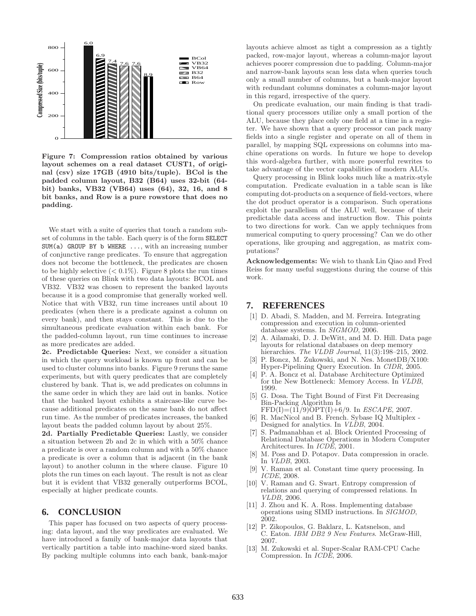

Figure 7: Compression ratios obtained by various layout schemes on a real dataset CUST1, of original (csv) size 17GB (4910 bits/tuple). BCol is the padded column layout, B32 (B64) uses 32-bit (64 bit) banks, VB32 (VB64) uses (64), 32, 16, and 8 bit banks, and Row is a pure rowstore that does no padding.

We start with a suite of queries that touch a random subset of columns in the table. Each query is of the form SELECT  $SUM(a)$  GROUP BY b WHERE ..., with an increasing number of conjunctive range predicates. To ensure that aggregation does not become the bottleneck, the predicates are chosen to be highly selective  $( $0.1\%$ ). Figure 8 plots the run times$ of these queries on Blink with two data layouts: BCOL and VB32. VB32 was chosen to represent the banked layouts because it is a good compromise that generally worked well. Notice that with VB32, run time increases until about 10 predicates (when there is a predicate against a column on every bank), and then stays constant. This is due to the simultaneous predicate evaluation within each bank. For the padded-column layout, run time continues to increase as more predicates are added.

2c. Predictable Queries: Next, we consider a situation in which the query workload is known up front and can be used to cluster columns into banks. Figure 9 reruns the same experiments, but with query predicates that are completely clustered by bank. That is, we add predicates on columns in the same order in which they are laid out in banks. Notice that the banked layout exhibits a staircase-like curve because additional predicates on the same bank do not affect run time. As the number of predicates increases, the banked layout beats the padded column layout by about 25%.

2d. Partially Predictable Queries: Lastly, we consider a situation between 2b and 2c in which with a 50% chance a predicate is over a random column and with a 50% chance a predicate is over a column that is adjacent (in the bank layout) to another column in the where clause. Figure 10 plots the run times on each layout. The result is not as clear but it is evident that VB32 generally outperforms BCOL, especially at higher predicate counts.

# **6. CONCLUSION**

This paper has focused on two aspects of query processing: data layout, and the way predicates are evaluated. We have introduced a family of bank-major data layouts that vertically partition a table into machine-word sized banks. By packing multiple columns into each bank, bank-major

layouts achieve almost as tight a compression as a tightly packed, row-major layout, whereas a column-major layout achieves poorer compression due to padding. Column-major and narrow-bank layouts scan less data when queries touch only a small number of columns, but a bank-major layout with redundant columns dominates a column-major layout in this regard, irrespective of the query.

On predicate evaluation, our main finding is that traditional query processors utilize only a small portion of the ALU, because they place only one field at a time in a register. We have shown that a query processor can pack many fields into a single register and operate on all of them in parallel, by mapping SQL expressions on columns into machine operations on words. In future we hope to develop this word-algebra further, with more powerful rewrites to take advantage of the vector capabilities of modern ALUs.

Query processing in Blink looks much like a matrix-style computation. Predicate evaluation in a table scan is like computing dot-products on a sequence of field-vectors, where the dot product operator is a comparison. Such operations exploit the parallelism of the ALU well, because of their predictable data access and instruction flow. This points to two directions for work. Can we apply techniques from numerical computing to query processing? Can we do other operations, like grouping and aggregation, as matrix computations?

Acknowledgements: We wish to thank Lin Qiao and Fred Reiss for many useful suggestions during the course of this work.

# **7. REFERENCES**

- [1] D. Abadi, S. Madden, and M. Ferreira. Integrating compression and execution in column-oriented database systems. In SIGMOD, 2006.
- [2] A. Ailamaki, D. J. DeWitt, and M. D. Hill. Data page layouts for relational databases on deep memory hierarchies. The VLDB Journal, 11(3):198–215, 2002.
- [3] P. Boncz, M. Zukowski, and N. Nes. MonetDB/X100: Hyper-Pipelining Query Execution. In CIDR, 2005.
- [4] P. A. Boncz et al. Database Architecture Optimized for the New Bottleneck: Memory Access. In VLDB, 1999.
- [5] G. Dosa. The Tight Bound of First Fit Decreasing Bin-Packing Algorithm Is  $FFD(I)=(11/9)OPT(I)+6/9.$  In *ESCAPE*, 2007.
- [6] R. MacNicol and B. French. Sybase IQ Multiplex Designed for analytics. In VLDB, 2004.
- [7] S. Padmanabhan et al. Block Oriented Processing of Relational Database Operations in Modern Computer Architectures. In ICDE, 2001.
- [8] M. Poss and D. Potapov. Data compression in oracle. In VLDB, 2003.
- [9] V. Raman et al. Constant time query processing. In ICDE, 2008.
- [10] V. Raman and G. Swart. Entropy compression of relations and querying of compressed relations. In VLDB, 2006.
- [11] J. Zhou and K. A. Ross. Implementing database operations using SIMD instructions. In SIGMOD, 2002.
- [12] P. Zikopoulos, G. Baklarz, L. Katsnelson, and C. Eaton. IBM DB2 9 New Features. McGraw-Hill, 2007.
- [13] M. Zukowski et al. Super-Scalar RAM-CPU Cache Compression. In ICDE, 2006.